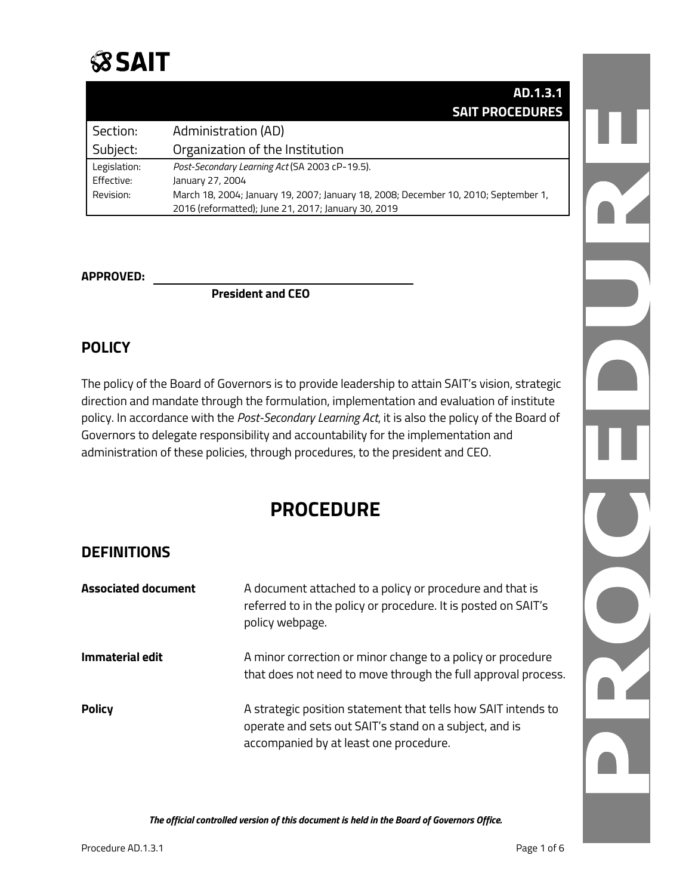

|              | AD.1.3.1                                                                            |
|--------------|-------------------------------------------------------------------------------------|
|              | <b>SAIT PROCEDURES</b>                                                              |
| Section:     | Administration (AD)                                                                 |
| Subject:     | Organization of the Institution                                                     |
| Legislation: | Post-Secondary Learning Act (SA 2003 cP-19.5).                                      |
| Effective:   | January 27, 2004                                                                    |
| Revision:    | March 18, 2004; January 19, 2007; January 18, 2008; December 10, 2010; September 1, |
|              | 2016 (reformatted); June 21, 2017; January 30, 2019                                 |

### **APPROVED:**

**President and CEO**

# **POLICY**

The policy of the Board of Governors is to provide leadership to attain SAIT's vision, strategic direction and mandate through the formulation, implementation and evaluation of institute policy. In accordance with the *Post-Secondary Learning Act*, it is also the policy of the Board of Governors to delegate responsibility and accountability for the implementation and administration of these policies, through procedures, to the president and CEO.

# **PROCEDURE**

# **DEFINITIONS**

| <b>Associated document</b> | A document attached to a policy or procedure and that is<br>referred to in the policy or procedure. It is posted on SAIT's<br>policy webpage.                     |
|----------------------------|-------------------------------------------------------------------------------------------------------------------------------------------------------------------|
| <b>Immaterial edit</b>     | A minor correction or minor change to a policy or procedure<br>that does not need to move through the full approval process.                                      |
| <b>Policy</b>              | A strategic position statement that tells how SAIT intends to<br>operate and sets out SAIT's stand on a subject, and is<br>accompanied by at least one procedure. |

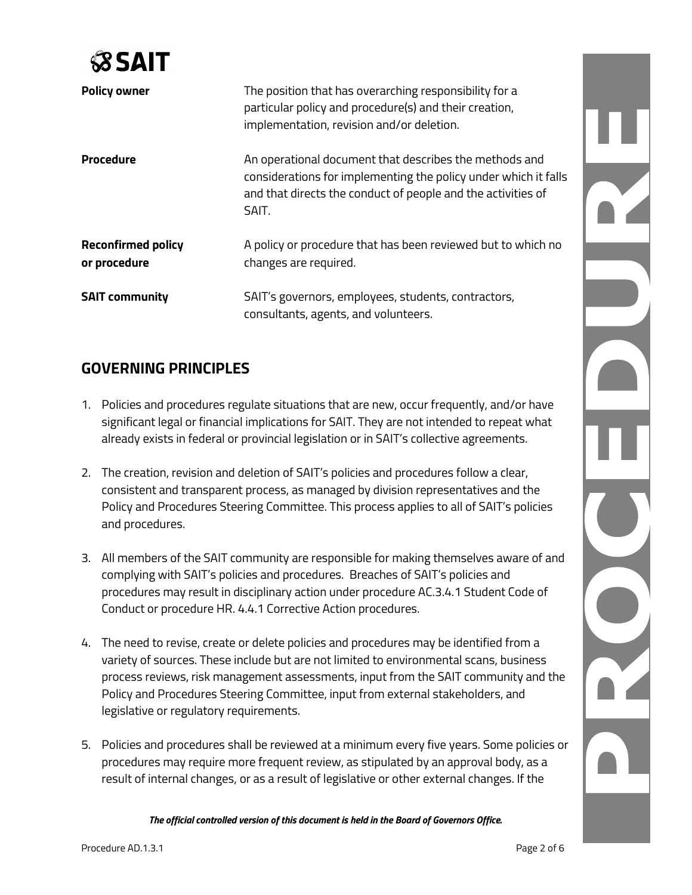

| <b>Policy owner</b>                       | The position that has overarching responsibility for a<br>particular policy and procedure(s) and their creation,<br>implementation, revision and/or deletion.                                      |
|-------------------------------------------|----------------------------------------------------------------------------------------------------------------------------------------------------------------------------------------------------|
| <b>Procedure</b>                          | An operational document that describes the methods and<br>considerations for implementing the policy under which it falls<br>and that directs the conduct of people and the activities of<br>SAIT. |
| <b>Reconfirmed policy</b><br>or procedure | A policy or procedure that has been reviewed but to which no<br>changes are required.                                                                                                              |
| <b>SAIT community</b>                     | SAIT's governors, employees, students, contractors,<br>consultants, agents, and volunteers.                                                                                                        |

# **GOVERNING PRINCIPLES**

- 1. Policies and procedures regulate situations that are new, occur frequently, and/or have significant legal or financial implications for SAIT. They are not intended to repeat what already exists in federal or provincial legislation or in SAIT's collective agreements.
- 2. The creation, revision and deletion of SAIT's policies and procedures follow a clear, consistent and transparent process, as managed by division representatives and the Policy and Procedures Steering Committee. This process applies to all of SAIT's policies and procedures.
- 3. All members of the SAIT community are responsible for making themselves aware of and complying with SAIT's policies and procedures. Breaches of SAIT's policies and procedures may result in disciplinary action under procedure AC.3.4.1 Student Code of Conduct or procedure HR. 4.4.1 Corrective Action procedures.
- 4. The need to revise, create or delete policies and procedures may be identified from a variety of sources. These include but are not limited to environmental scans, business process reviews, risk management assessments, input from the SAIT community and the Policy and Procedures Steering Committee, input from external stakeholders, and legislative or regulatory requirements.
- 5. Policies and procedures shall be reviewed at a minimum every five years. Some policies or procedures may require more frequent review, as stipulated by an approval body, as a result of internal changes, or as a result of legislative or other external changes. If the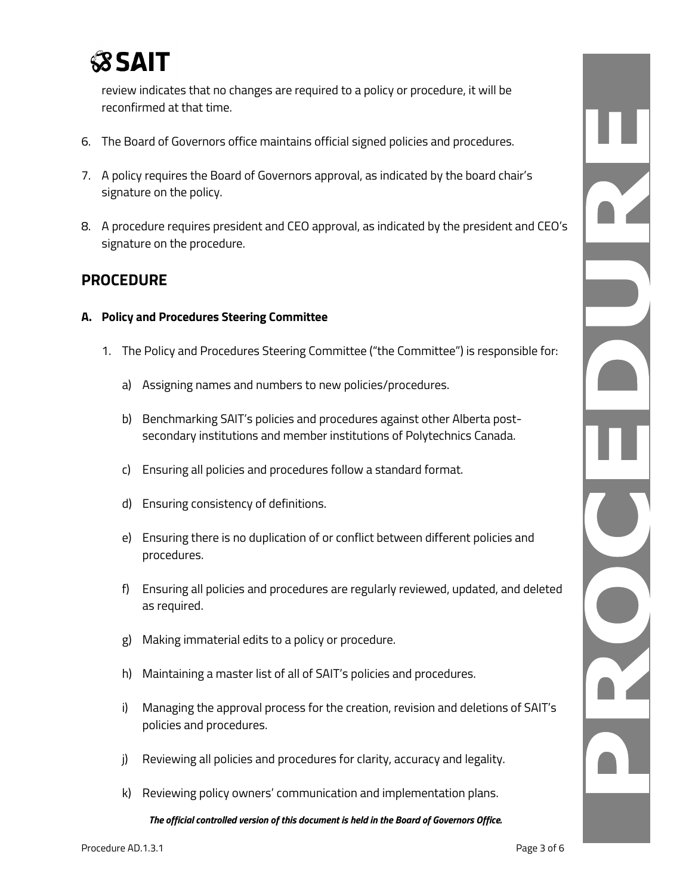

review indicates that no changes are required to a policy or procedure, it will be reconfirmed at that time.

- 6. The Board of Governors office maintains official signed policies and procedures.
- 7. A policy requires the Board of Governors approval, as indicated by the board chair's signature on the policy.
- 8. A procedure requires president and CEO approval, as indicated by the president and CEO's signature on the procedure.

## **PROCEDURE**

#### **A. Policy and Procedures Steering Committee**

- 1. The Policy and Procedures Steering Committee ("the Committee") is responsible for:
	- a) Assigning names and numbers to new policies/procedures.
	- b) Benchmarking SAIT's policies and procedures against other Alberta postsecondary institutions and member institutions of Polytechnics Canada.
	- c) Ensuring all policies and procedures follow a standard format.
	- d) Ensuring consistency of definitions.
	- e) Ensuring there is no duplication of or conflict between different policies and procedures.
	- f) Ensuring all policies and procedures are regularly reviewed, updated, and deleted as required.
	- g) Making immaterial edits to a policy or procedure.
	- h) Maintaining a master list of all of SAIT's policies and procedures.
	- i) Managing the approval process for the creation, revision and deletions of SAIT's policies and procedures.
	- j) Reviewing all policies and procedures for clarity, accuracy and legality.
	- k) Reviewing policy owners' communication and implementation plans.

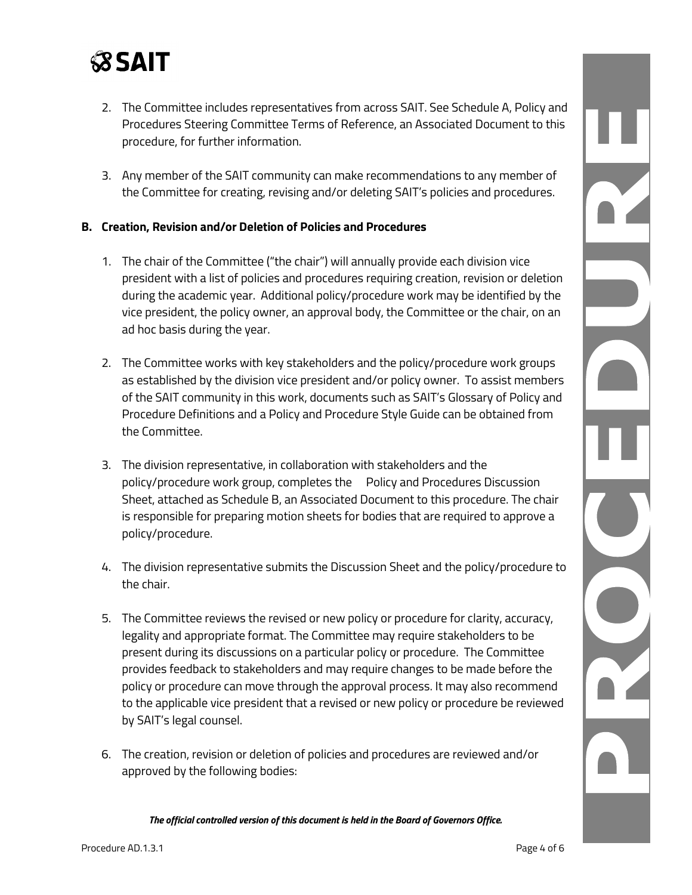

- 2. The Committee includes representatives from across SAIT. See Schedule A, Policy and Procedures Steering Committee Terms of Reference, an Associated Document to this procedure, for further information.
- 3. Any member of the SAIT community can make recommendations to any member of the Committee for creating, revising and/or deleting SAIT's policies and procedures.

#### **B. Creation, Revision and/or Deletion of Policies and Procedures**

- 1. The chair of the Committee ("the chair") will annually provide each division vice president with a list of policies and procedures requiring creation, revision or deletion during the academic year. Additional policy/procedure work may be identified by the vice president, the policy owner, an approval body, the Committee or the chair, on an ad hoc basis during the year.
- 2. The Committee works with key stakeholders and the policy/procedure work groups as established by the division vice president and/or policy owner. To assist members of the SAIT community in this work, documents such as SAIT's Glossary of Policy and Procedure Definitions and a Policy and Procedure Style Guide can be obtained from the Committee.
- 3. The division representative, in collaboration with stakeholders and the policy/procedure work group, completes the Policy and Procedures Discussion Sheet, attached as Schedule B, an Associated Document to this procedure. The chair is responsible for preparing motion sheets for bodies that are required to approve a policy/procedure.
- 4. The division representative submits the Discussion Sheet and the policy/procedure to the chair.
- 5. The Committee reviews the revised or new policy or procedure for clarity, accuracy, legality and appropriate format. The Committee may require stakeholders to be present during its discussions on a particular policy or procedure. The Committee provides feedback to stakeholders and may require changes to be made before the policy or procedure can move through the approval process. It may also recommend to the applicable vice president that a revised or new policy or procedure be reviewed by SAIT's legal counsel.
- 6. The creation, revision or deletion of policies and procedures are reviewed and/or approved by the following bodies:

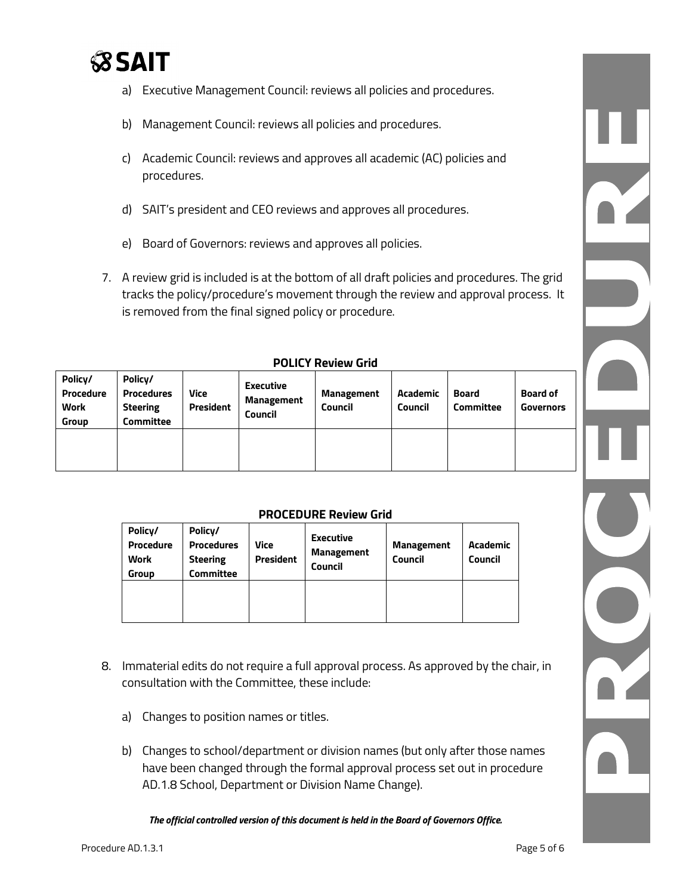

- a) Executive Management Council: reviews all policies and procedures.
- b) Management Council: reviews all policies and procedures.
- c) Academic Council: reviews and approves all academic (AC) policies and procedures.
- d) SAIT's president and CEO reviews and approves all procedures.
- e) Board of Governors: reviews and approves all policies.
- 7. A review grid is included is at the bottom of all draft policies and procedures. The grid tracks the policy/procedure's movement through the review and approval process. It is removed from the final signed policy or procedure.

| L ALICI IICAICM AIIA                                |                                                                     |                   |                                                         |                                     |                            |                                  |                              |
|-----------------------------------------------------|---------------------------------------------------------------------|-------------------|---------------------------------------------------------|-------------------------------------|----------------------------|----------------------------------|------------------------------|
| Policy/<br>Procedure<br><b>Work</b><br><b>Group</b> | Policy/<br><b>Procedures</b><br><b>Steering</b><br><b>Committee</b> | Vice<br>President | <b>Executive</b><br><b>Management</b><br><b>Council</b> | <b>Management</b><br><b>Council</b> | Academic<br><b>Council</b> | <b>Board</b><br><b>Committee</b> | <b>Board of</b><br>Governors |
|                                                     |                                                                     |                   |                                                         |                                     |                            |                                  |                              |

#### **POLICY Review Grid**

#### **PROCEDURE Review Grid**

| Policy/<br>Procedure<br><b>Work</b><br>Group | Policy/<br><b>Procedures</b><br><b>Steering</b><br><b>Committee</b> | Vice<br><b>President</b> | <b>Executive</b><br><b>Management</b><br><b>Council</b> | <b>Management</b><br><b>Council</b> | Academic<br>Council |
|----------------------------------------------|---------------------------------------------------------------------|--------------------------|---------------------------------------------------------|-------------------------------------|---------------------|
|                                              |                                                                     |                          |                                                         |                                     |                     |

- 8. Immaterial edits do not require a full approval process. As approved by the chair, in consultation with the Committee, these include:
	- a) Changes to position names or titles.
	- b) Changes to school/department or division names (but only after those names have been changed through the formal approval process set out in procedure AD.1.8 School, Department or Division Name Change).